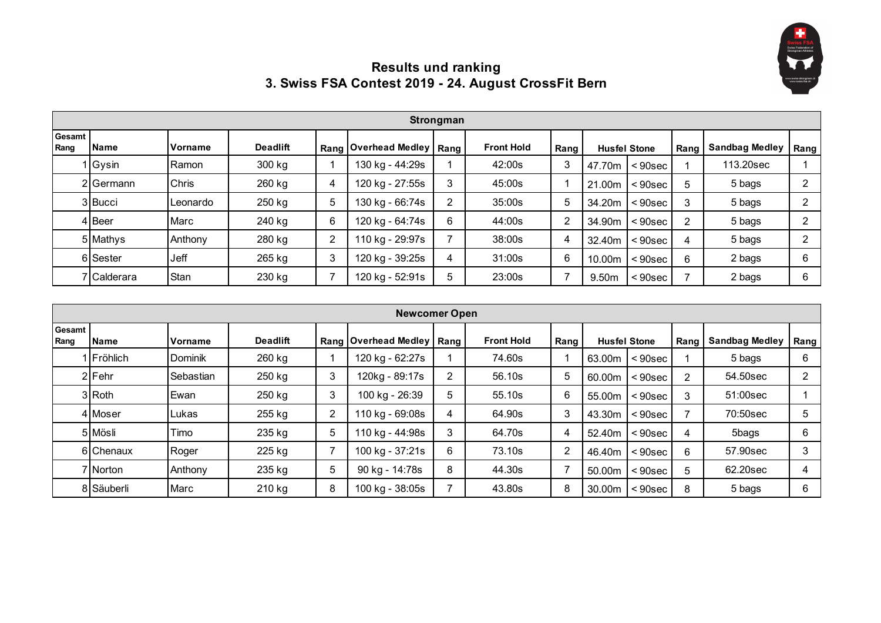

## **Results und ranking 3. Swiss FSA Contest 2019 - 24. August CrossFit Bern**

|                | Strongman   |          |                 |   |                             |   |                   |      |                     |                   |      |                       |      |  |
|----------------|-------------|----------|-----------------|---|-----------------------------|---|-------------------|------|---------------------|-------------------|------|-----------------------|------|--|
| Gesamt<br>Rang | <b>Name</b> | Vorname  | <b>Deadlift</b> |   | Rang Overhead Medley   Rang |   | <b>Front Hold</b> | Rang | <b>Husfel Stone</b> |                   | Rang | <b>Sandbag Medley</b> | Rang |  |
|                | 1 Gysin     | Ramon    | 300 kg          |   | 130 kg - 44:29s             |   | 42:00s            | 3    | 47.70m              | $<$ 90sec $\vert$ |      | 113.20sec             |      |  |
|                | 2 Germann   | Chris    | 260 kg          | 4 | 120 kg - 27:55s             | 3 | 45:00s            |      | 21.00m              | $< 90$ sec        |      | 5 bags                |      |  |
|                | 3 Bucci     | Leonardo | 250 kg          | 5 | 130 kg - 66:74s             | າ | 35:00s            | 5    | 34.20m              | $< 90$ sec        |      | 5 bags                |      |  |
|                | 4 Beer      | Marc     | 240 kg          | 6 | 120 kg - 64:74s             | 6 | 44:00s            | 2    | 34.90m              | $< 90$ sec        |      | 5 bags                |      |  |
|                | 5 Mathys    | Anthony  | 280 kg          | 2 | 110 kg - 29:97s             |   | 38:00s            | 4    | 32.40m              | $< 90$ sec        | 4    | 5 bags                |      |  |
|                | 6 Sester    | Jeff     | 265 kg          | 3 | 120 kg - 39:25s             | 4 | 31:00s            | 6    | 10.00m              | $< 90$ sec        | 6    | 2 bags                |      |  |
|                | 7 Calderara | Stan     | 230 kg          |   | 120 kg - 52:91s             |   | 23:00s            |      | 9.50m               | $< 90$ sec        |      | 2 bags                |      |  |

|                       | <b>Newcomer Open</b> |                  |                 |                |                             |   |                   |        |        |                     |                |                       |      |  |
|-----------------------|----------------------|------------------|-----------------|----------------|-----------------------------|---|-------------------|--------|--------|---------------------|----------------|-----------------------|------|--|
| <b>Gesamt</b><br>Rang | <b>Name</b>          | <b>IVorname</b>  | <b>Deadlift</b> |                | Rang Overhead Medley   Rang |   | <b>Front Hold</b> | Rang I |        | <b>Husfel Stone</b> | Rang           | <b>Sandbag Medley</b> | Rang |  |
|                       | <b>IFröhlich</b>     | <b>I</b> Dominik | 260 kg          |                | 120 kg - 62:27s             |   | 74.60s            |        | 63.00m | $< 90$ sec          |                | 5 bags                | 6    |  |
|                       | 2 Fehr               | Sebastian        | 250 kg          | 3              | 120kg - 89:17s              | 2 | 56.10s            | 5      | 60.00m | < 90sec             | $\overline{2}$ | 54.50sec              | ◠    |  |
|                       | 3 Roth               | Ewan             | 250 kg          | 3              | 100 kg - 26:39              | 5 | 55.10s            | 6      | 55.00m | <90sec              | 3              | 51:00sec              |      |  |
|                       | 4 Moser              | <b>Lukas</b>     | 255 kg          | $\overline{2}$ | 110 kg - 69:08s             | 4 | 64.90s            | 3      | 43.30m | <90sec              |                | 70:50sec              | 5    |  |
|                       | 5 Mösli              | Timo             | 235 kg          | 5              | 110 kg - 44:98s             | 3 | 64.70s            | 4      | 52.40m | <90sec              | 4              | 5bags                 | 6    |  |
|                       | 6 Chenaux            | Roger            | 225 kg          | $\overline{ }$ | 100 kg - 37:21s             | 6 | 73.10s            | 2      | 46.40m | $< 90$ sec          | 6              | 57.90sec              | 3    |  |
|                       | 7 Norton             | Anthony          | 235 kg          | 5              | 90 kg - 14:78s              | 8 | 44.30s            |        | 50.00m | $< 90$ sec          | 5              | 62.20sec              | 4    |  |
|                       | 8 Säuberli           | Marc             | 210 kg          | 8              | 100 kg - 38:05s             |   | 43.80s            | 8      | 30.00m | $< 90$ sec          | 8              | 5 bags                | 6    |  |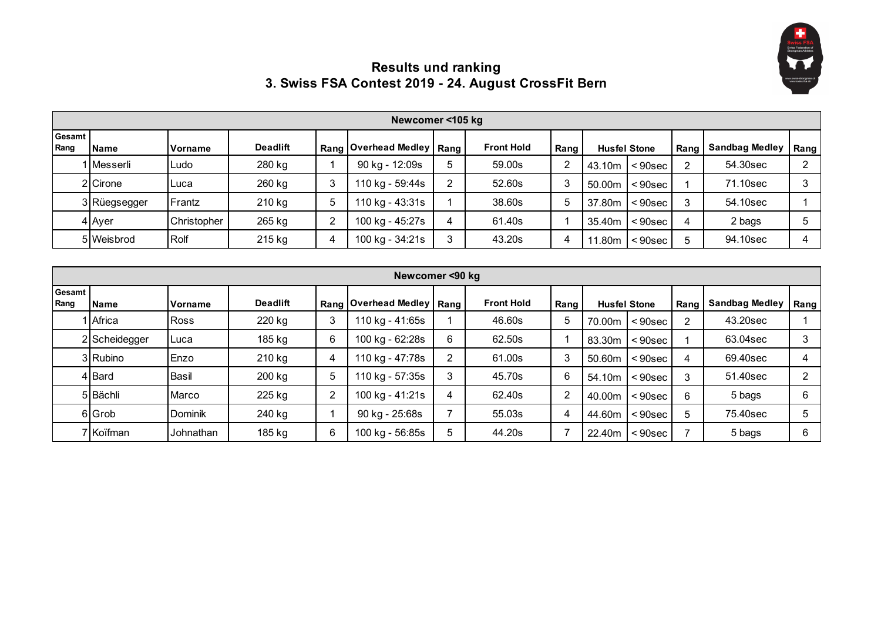

## **Results und ranking 3. Swiss FSA Contest 2019 - 24. August CrossFit Bern**

|                  | Newcomer <105 kg |                |                 |   |                             |   |                   |      |                    |                     |               |                       |      |  |
|------------------|------------------|----------------|-----------------|---|-----------------------------|---|-------------------|------|--------------------|---------------------|---------------|-----------------------|------|--|
| Gesamt I<br>Rang | <b>Name</b>      | <b>Norname</b> | <b>Deadlift</b> |   | Rang Overhead Medley   Rang |   | <b>Front Hold</b> | Rang |                    | <b>Husfel Stone</b> | Rang          | <b>Sandbag Medley</b> | Rang |  |
|                  | 1   Messerli     | Ludo           | 280 kg          |   | 90 kg - 12:09s              | 5 | 59.00s            | ົ    | 43.10m             | $< 90$ sec          | $\mathcal{P}$ | 54.30sec              |      |  |
|                  | 2 Cirone         | Luca           | 260 kg          | 3 | 110 kg - 59:44s             |   | 52.60s            | 3    | 50.00 <sub>m</sub> | $< 90$ sec          |               | 71.10sec              |      |  |
|                  | 3 Rüegsegger     | Frantz         | 210 kg          | 5 | 110 kg - 43:31s             |   | 38.60s            | b    | 37.80m             | < 90sec             | 3             | 54.10sec              |      |  |
|                  | 4 Ayer           | Christopher    | 265 kg          |   | 100 kg - 45:27s             | 4 | 61.40s            |      | 35.40m             | $< 90$ sec          | 4             | 2 bags                |      |  |
|                  | 5 Weisbrod       | Rolf           | 215 kg          | 4 | 100 kg - 34:21s             | 3 | 43.20s            | 4    | 11.80m             | <90sec              | 5             | 94.10sec              |      |  |

|                | Newcomer <90 kg |                |                 |   |                             |   |                   |      |                     |            |      |                       |      |
|----------------|-----------------|----------------|-----------------|---|-----------------------------|---|-------------------|------|---------------------|------------|------|-----------------------|------|
| Gesamt<br>Rang | Name            | Vorname        | <b>Deadlift</b> |   | Rang Overhead Medley   Rang |   | <b>Front Hold</b> | Rang | <b>Husfel Stone</b> |            | Rang | <b>Sandbag Medley</b> | Rang |
|                | Africa          | <b>Ross</b>    | 220 kg          | 3 | 110 kg - 41:65s             |   | 46.60s            | 5    | 70.00m              | $< 90$ sec | 2    | 43.20sec              |      |
|                | 2 Scheidegger   | Luca           | 185 kg          | 6 | 100 kg - 62:28s             | 6 | 62.50s            |      | 83.30m              | $< 90$ sec |      | 63.04sec              | 3    |
|                | 3 Rubino        | Enzo           | 210 kg          | 4 | 110 kg - 47:78s             | 2 | 61.00s            | 3    | 50.60m              | $< 90$ sec | 4    | 69.40sec              |      |
|                | 4 Bard          | Basil          | 200 kg          | 5 | 110 kg - 57:35s             | 3 | 45.70s            | 6    | 54.10m              | $< 90$ sec | 3    | 51.40sec              | ◠    |
|                | 5 Bächli        | Marco          | 225 kg          | 2 | 100 kg - 41:21s             | 4 | 62.40s            | 2    | 40.00m              | $< 90$ sec | 6    | 5 bags                | 6    |
|                | 6 Grob          | <b>Dominik</b> | 240 kg          |   | 90 kg - 25:68s              |   | 55.03s            | 4    | 44.60m              | $< 90$ sec | 5    | 75.40sec              | 5    |
|                | 7 Koïfman       | Johnathan      | 185 kg          | 6 | 100 kg - 56:85s             | 5 | 44.20s            | ⇁    | 22.40m              | $< 90$ sec |      | 5 bags                | 6    |